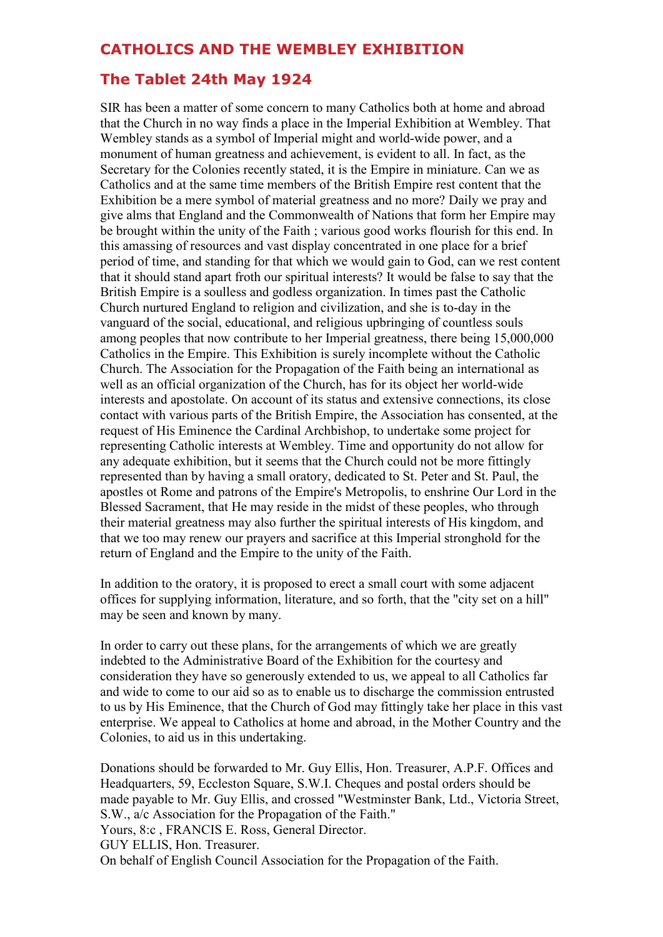# **CATHOLICS AND THE WEMBLEY EXHIBITION**

## **The Tablet 24th May 1924**

SIR has been a matter of some concern to many Catholics both at home and abroad that the Church in no way finds a place in the Imperial Exhibition at Wembley. That Wembley stands as a symbol of Imperial might and world-wide power, and a monument of human greatness and achievement, is evident to all. In fact, as the Secretary for the Colonies recently stated, it is the Empire in miniature. Can we as Catholics and at the same time members of the British Empire rest content that the Exhibition be a mere symbol of material greatness and no more? Daily we pray and give alms that England and the Commonwealth of Nations that form her Empire may be brought within the unity of the Faith ; various good works flourish for this end. In this amassing of resources and vast display concentrated in one place for a brief period of time, and standing for that which we would gain to God, can we rest content that it should stand apart froth our spiritual interests? It would be false to say that the British Empire is a soulless and godless organization. In times past the Catholic Church nurtured England to religion and civilization, and she is to-day in the vanguard of the social, educational, and religious upbringing of countless souls among peoples that now contribute to her Imperial greatness, there being 15,000,000 Catholics in the Empire. This Exhibition is surely incomplete without the Catholic Church. The Association for the Propagation of the Faith being an international as well as an official organization of the Church, has for its object her world-wide interests and apostolate. On account of its status and extensive connections, its close contact with various parts of the British Empire, the Association has consented, at the request of His Eminence the Cardinal Archbishop, to undertake some project for representing Catholic interests at Wembley. Time and opportunity do not allow for any adequate exhibition, but it seems that the Church could not be more fittingly represented than by having a small oratory, dedicated to St. Peter and St. Paul, the apostles ot Rome and patrons of the Empire's Metropolis, to enshrine Our Lord in the Blessed Sacrament, that He may reside in the midst of these peoples, who through their material greatness may also further the spiritual interests of His kingdom, and that we too may renew our prayers and sacrifice at this Imperial stronghold for the return of England and the Empire to the unity of the Faith.

In addition to the oratory, it is proposed to erect a small court with some adjacent offices for supplying information, literature, and so forth, that the "city set on a hill" may be seen and known by many.

In order to carry out these plans, for the arrangements of which we are greatly indebted to the Administrative Board of the Exhibition for the courtesy and consideration they have so generously extended to us, we appeal to all Catholics far and wide to come to our aid so as to enable us to discharge the commission entrusted to us by His Eminence, that the Church of God may fittingly take her place in this vast enterprise. We appeal to Catholics at home and abroad, in the Mother Country and the Colonies, to aid us in this undertaking.

Donations should be forwarded to Mr. Guy Ellis, Hon. Treasurer, A.P.F. Offices and Headquarters, 59, Eccleston Square, S.W.I. Cheques and postal orders should be made payable to Mr. Guy Ellis, and crossed "Westminster Bank, Ltd., Victoria Street, S.W., a/c Association for the Propagation of the Faith."

Yours, 8:c , FRANCIS E. Ross, General Director.

GUY ELLIS, Hon. Treasurer.

On behalf of English Council Association for the Propagation of the Faith.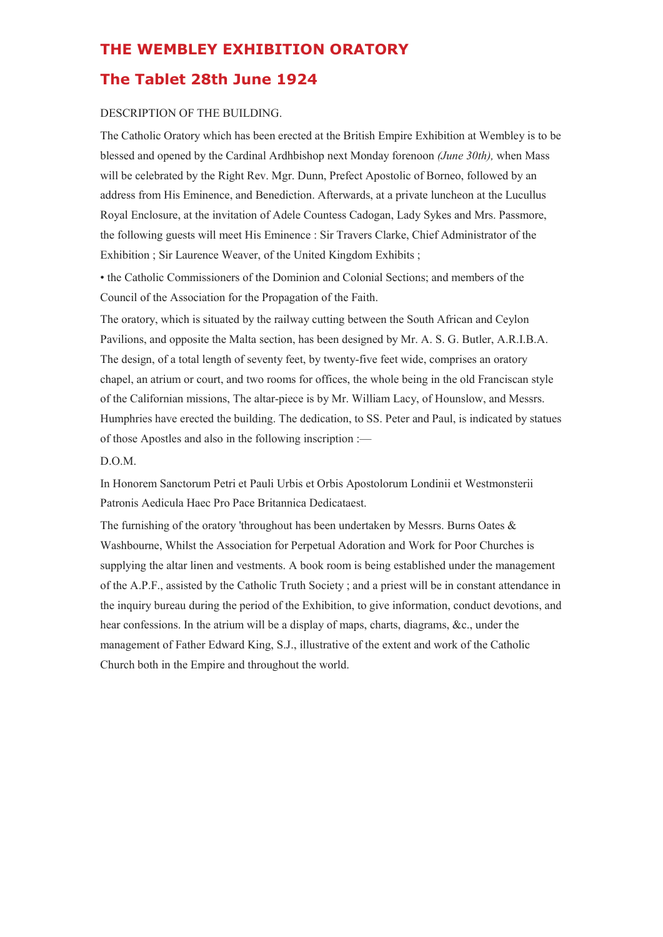### **THE WEMBLEY EXHIBITION ORATORY**

### **The Tablet 28th June 1924**

#### DESCRIPTION OF THE BUILDING.

The Catholic Oratory which has been erected at the British Empire Exhibition at Wembley is to be blessed and opened by the Cardinal Ardhbishop next Monday forenoon *(June 30th),* when Mass will be celebrated by the Right Rev. Mgr. Dunn, Prefect Apostolic of Borneo, followed by an address from His Eminence, and Benediction. Afterwards, at a private luncheon at the Lucullus Royal Enclosure, at the invitation of Adele Countess Cadogan, Lady Sykes and Mrs. Passmore, the following guests will meet His Eminence : Sir Travers Clarke, Chief Administrator of the Exhibition ; Sir Laurence Weaver, of the United Kingdom Exhibits ;

• the Catholic Commissioners of the Dominion and Colonial Sections; and members of the Council of the Association for the Propagation of the Faith.

The oratory, which is situated by the railway cutting between the South African and Ceylon Pavilions, and opposite the Malta section, has been designed by Mr. A. S. G. Butler, A.R.I.B.A. The design, of a total length of seventy feet, by twenty-five feet wide, comprises an oratory chapel, an atrium or court, and two rooms for offices, the whole being in the old Franciscan style of the Californian missions, The altar-piece is by Mr. William Lacy, of Hounslow, and Messrs. Humphries have erected the building. The dedication, to SS. Peter and Paul, is indicated by statues of those Apostles and also in the following inscription :—

### D.O.M.

In Honorem Sanctorum Petri et Pauli Urbis et Orbis Apostolorum Londinii et Westmonsterii Patronis Aedicula Haec Pro Pace Britannica Dedicataest.

The furnishing of the oratory 'throughout has been undertaken by Messrs. Burns Oates  $\&$ Washbourne, Whilst the Association for Perpetual Adoration and Work for Poor Churches is supplying the altar linen and vestments. A book room is being established under the management of the A.P.F., assisted by the Catholic Truth Society ; and a priest will be in constant attendance in the inquiry bureau during the period of the Exhibition, to give information, conduct devotions, and hear confessions. In the atrium will be a display of maps, charts, diagrams, &c., under the management of Father Edward King, S.J., illustrative of the extent and work of the Catholic Church both in the Empire and throughout the world.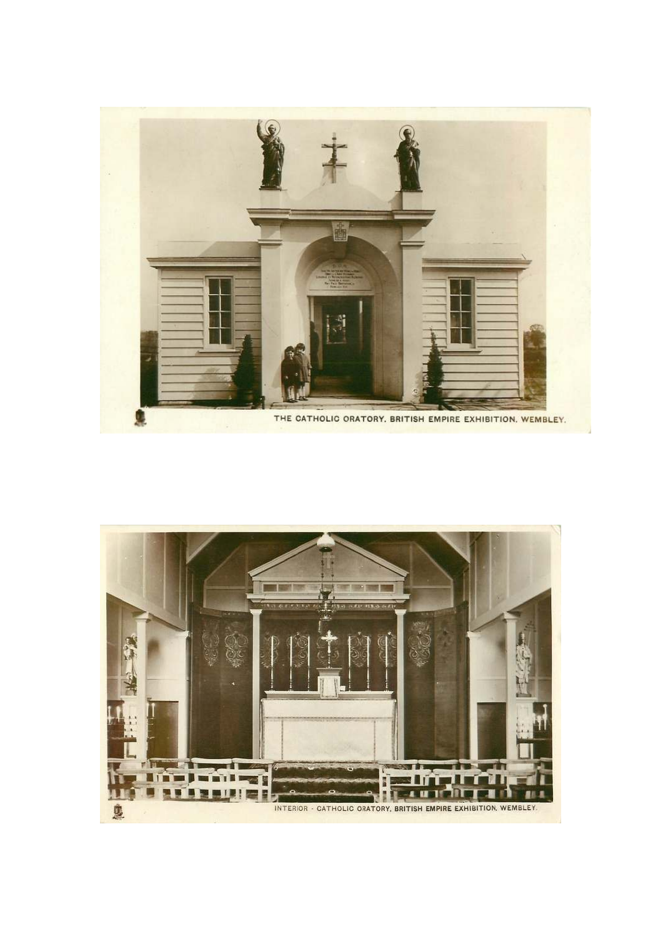